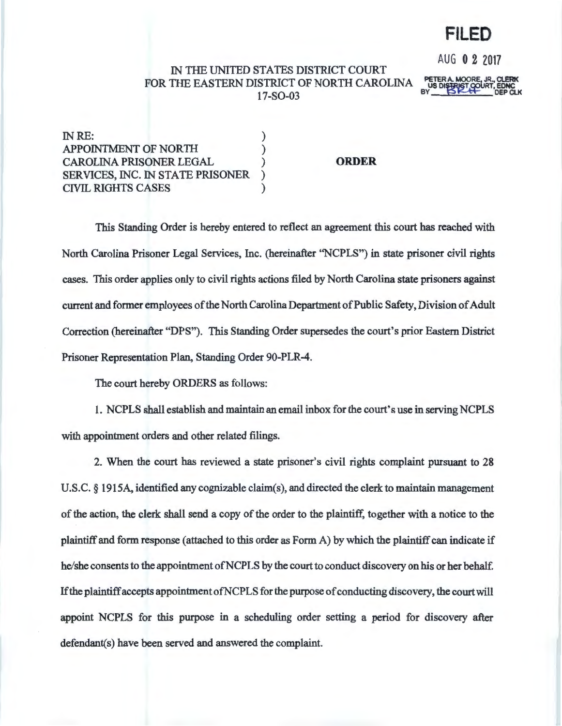# **FILED**

AUG 0 2 2017

## IN THE UNITED STATES DISTRICT COURT FOR THE EASTERN DISTRICT OF NORTH CAROLINA 17-S0-03

PETER A. MOORE, JR., CLERK US DISTRIGT COURT, EDNC  $BY$   $D K H$  DEP CLK

IN RE: APPOINTMENT OF NORTH ) CAROLINA PRISONER LEGAL ) SERVICES, INC. IN STATE PRISONER CIVIL RIGHTS CASES )

**ORDER** 

This Standing Order is hereby entered to reflect an agreement this court has reached with North Carolina Prisoner Legal Services, Inc. (hereinafter ''NCPLS") in state prisoner civil rights cases. This order applies only to civil rights actions filed by North Carolina state prisoners against current and former employees of the North Carolina Department of Public Safety, Division of Adult Correction (hereinafter "DPS"). This Standing Order supersedes the court's prior Eastern District Prisoner Representation Plan, Standing Order 90-PLR-4.

The court hereby ORDERS as follows:

1. NCPLS shall establish and maintain an email inbox for the court's use in serving NCPLS with appointment orders and other related filings.

2. When the court has reviewed a state prisoner's civil rights complaint pursuant to 28 U.S.C. § 1915A, identified any cognizable claim(s), and directed the clerk to maintain management of the action, the clerk shall send a copy of the order to the plaintiff, together with a notice to the plaintiff and form response (attached to this order as Form A) by which the plaintiff can indicate if he/she consents to the appointment of NCPLS by the court to conduct discovery on his or her behalf. If the plaintiff accepts appointment ofNCPLS for the purpose of conducting discovery, the court will appoint NCPLS for this purpose in a scheduling order setting a period for discovery after defendant(s) have been served and answered the complaint.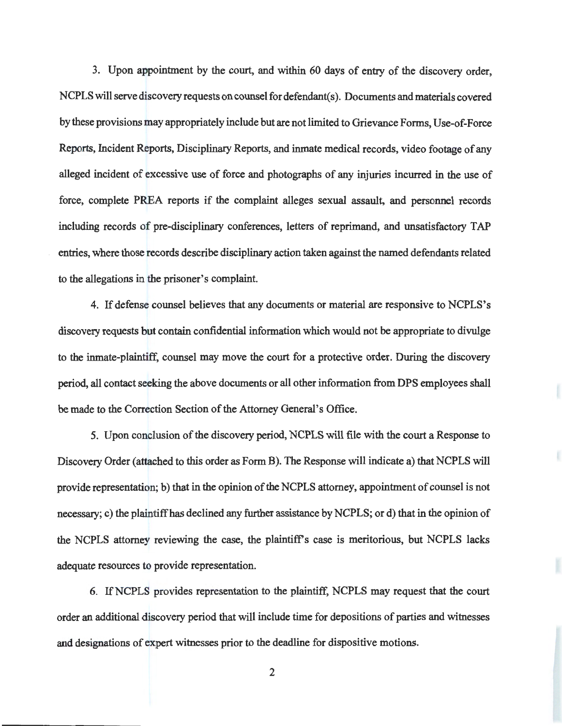3. Upon appointment by the court, and within 60 days of entry of the discovery order, NCPLS will serve discovery requests on counsel for defendant(s). Documents and materials covered by these provisions may appropriately include but are not limited to Grievance Forms, Use-of-Force Reports, Incident Reports, Disciplinary Reports, and inmate medical records, video footage of any alleged incident of excessive use of force and photographs of any injuries incurred in the use of force, complete PREA reports if the complaint alleges sexual assault, and personnel records including records of pre-disciplinary conferences, letters of reprimand, and unsatisfactory TAP entries, where those records describe disciplinary action taken against the named defendants related to the allegations in the prisoner's complaint.

4. If defense counsel believes that any documents or material are responsive to NCPLS's discovery requests but contain confidential information which would not be appropriate to divulge to the inmate-plaintiff, counsel may move the court for a protective order. During the discovery period, all contact seeking the above documents or all other information from DPS employees shall be made to the Correction Section of the Attorney General's Office.

5. Upon conclusion of the discovery period, NCPLS will file with the court a Response to Discovery Order (attached to this order as Form B). The Response will indicate a) that NCPLS will provide representation; b) that in the opinion of the NCPLS attorney, appointment of counsel is not necessary; c) the plaintiff has declined any further assistance by NCPLS; or d) that in the opinion of the NCPLS attorney reviewing the case, the plaintiff's case is meritorious, but NCPLS lacks adequate resources to provide representation.

6. IfNCPLS provides representation to the plaintiff, NCPLS may request that the court order an additional discovery period that will include time for depositions of parties and witnesses and designations of expert witnesses prior to the deadline for dispositive motions.

2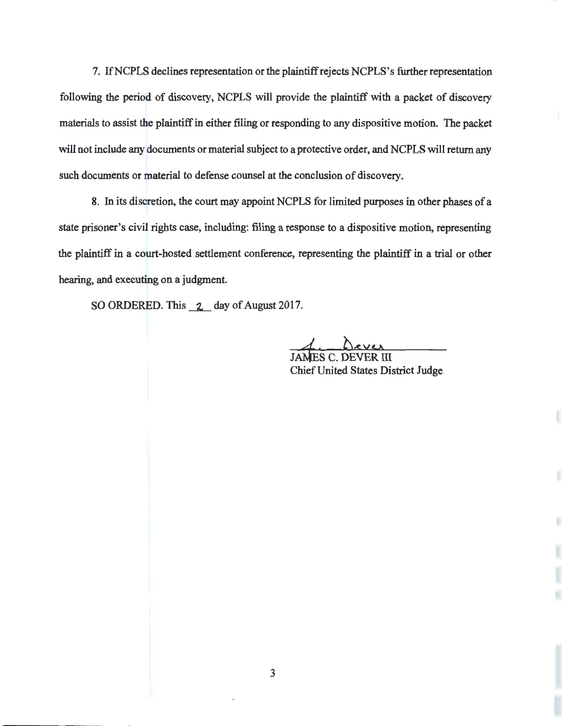7. If NCPLS declines representation or the plaintiff rejects NCPLS's further representation following the period of discovery, NCPLS will provide the plaintiff with a packet of discovery materials to assist the plaintiff in either filing or responding to any dispositive motion. The packet will not include any documents or material subject to a protective order, and NCPLS will return any such documents or material to defense counsel at the conclusion of discovery.

8. In its discretion, the court may appoint NCPLS for limited purposes in other phases of a state prisoner's civil rights case, including: filing a response to a dispositive motion, representing the plaintiff in a court-hosted settlement conference, representing the plaintiff in a trial or other hearing, and executing on a judgment.

SO ORDERED. This 2 day of August 2017.

**Chief United States District Judge**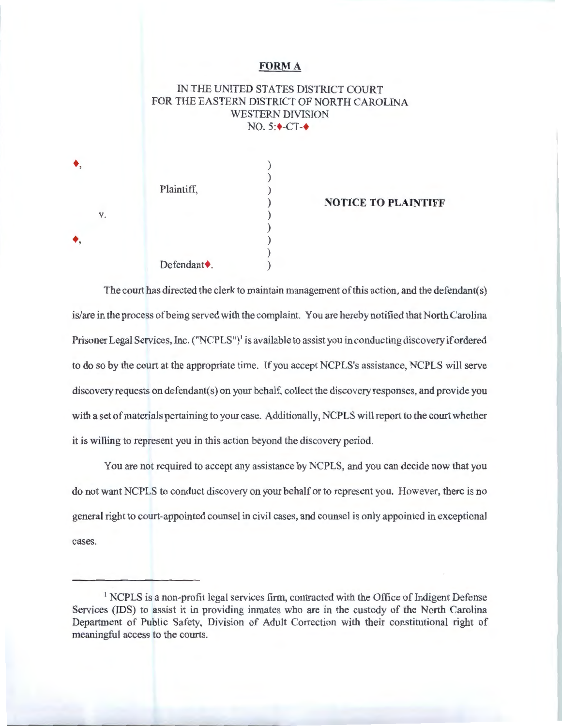### **FORMA**

IN THE UNITED STATES DISTRICT COURT FOR THE EASTERN DISTRICT OF NORTH CAROLINA WESTERN DIVISION NO. 5:**+-CT-+** 

| ♦, |                          |  |
|----|--------------------------|--|
|    |                          |  |
|    | Plaintiff,               |  |
| V. |                          |  |
|    |                          |  |
| ♦, |                          |  |
|    |                          |  |
|    | Defendant <sup>+</sup> . |  |

#### ) **NOTICE TO PLAINTIFF**

The court has directed the clerk to maintain management of this action, and the defendant(s) is/are in the process ofbeing served with the complaint. You are hereby notified that North Carolina Prisoner Legal Services, Inc. ("NCPLS")<sup>1</sup> is available to assist you in conducting discovery if ordered to do so by the court at the appropriate time. If you accept NCPLS's assistance, NCPLS will serve discovery requests on defendant(s) on your behalf, collect the discovery responses, and provide you with a set of materials pertaining to your case. Additionally, NCPLS will report to the court whether it is willing to represent you in this action beyond the discovery period.

You are not required to accept any assistance by NCPLS, and you can decide now that you do not want NCPLS to conduct discovery on your behalf or to represent you. However, there is no general right to court-appointed counsel in civil cases, and counsel is only appointed in exceptional cases.

<sup>1</sup> NCPLS is a non-profit legal services firm, contracted with the Office of Indigent Defense Services (IDS) to assist it in providing inmates who are in the custody of the North Carolina Department of Public Safety, Division of Adult Correction with their constitutional right of meaningful access to the courts.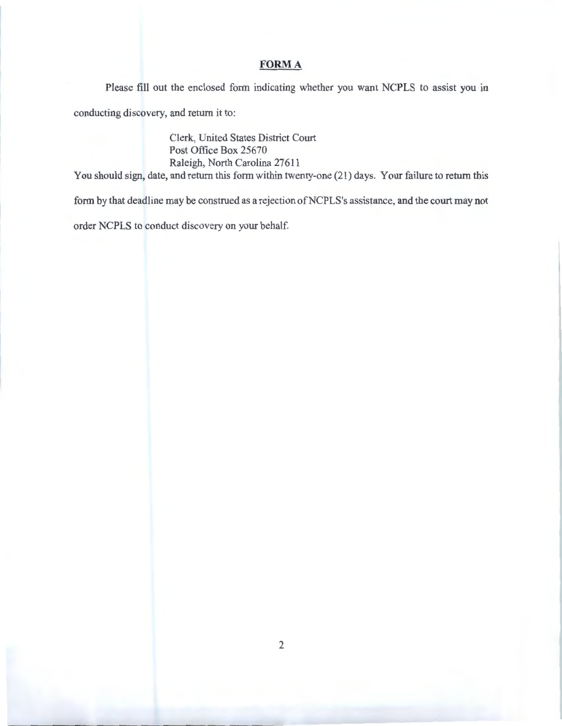### **FORMA**

Please fill out the enclosed form indicating whether you want NCPLS to assist you in

conducting discovery, and return it to:

Clerk, United States District Court Post Office Box 25670 Raleigh, North Carolina 27611

You should sign, date, and return this form within twenty-one (21) days. Your failure to return this

form by that deadline may be construed as a rejection of NCPLS's assistance, and the court may not

order NCPLS to conduct discovery on your behalf.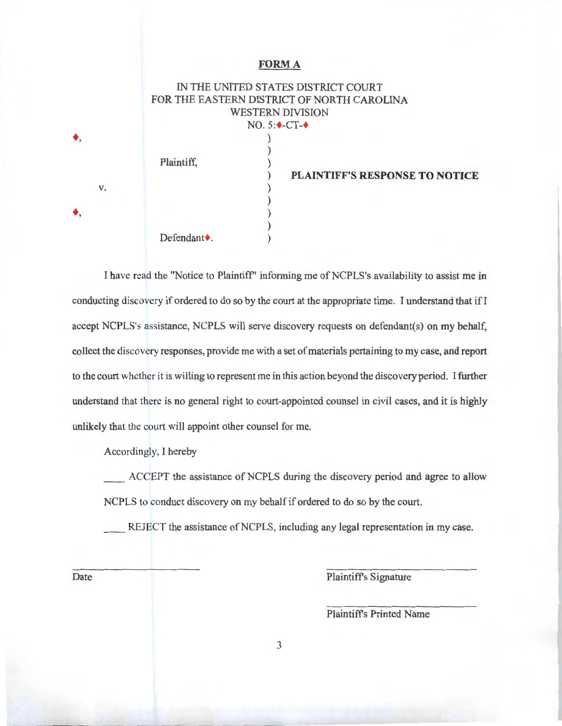#### **FORMA**

IN THE UNITED STATES DISTRICT COURT FOR THE EASTERN DISTRICT OF NORTH CAROLINA WESTERN DIVISION NO. 5:**↓**-CT-◆ ) ) Plaintiff, (a) ) **PLAINTIFF'S RESPONSE TO NOTICE**  ) ) ) ) Defendant  $\bullet$ .

I have read the "Notice to Plaintiff" informing me of NCPLS's availability to assist me in conducting discovery if ordered to do so by the court at the appropriate time. I understand that ifl accept NCPLS's assistance, NCPLS will serve discovery requests on defendant(s) on my behalf, collect the discovery responses, provide me with a set of materials pertaining to my case, and report to the court whether it is willing to represent me in this action beyond the discovery period. I further understand that there is no general right to court-appointed counsel in civil cases, and it is highly unlikely that the court will appoint other counsel for me.

Accordingly, I hereby

ACCEPT the assistance of NCPLS during the discovery period and agree to allow NCPLS to conduct discovery on my behalf if ordered to do so by the court.

REJECT the assistance of NCPLS, including any legal representation in my case.

+,

+,

v.

Date Plaintiff's Signature

Plaintiffs Printed Name

3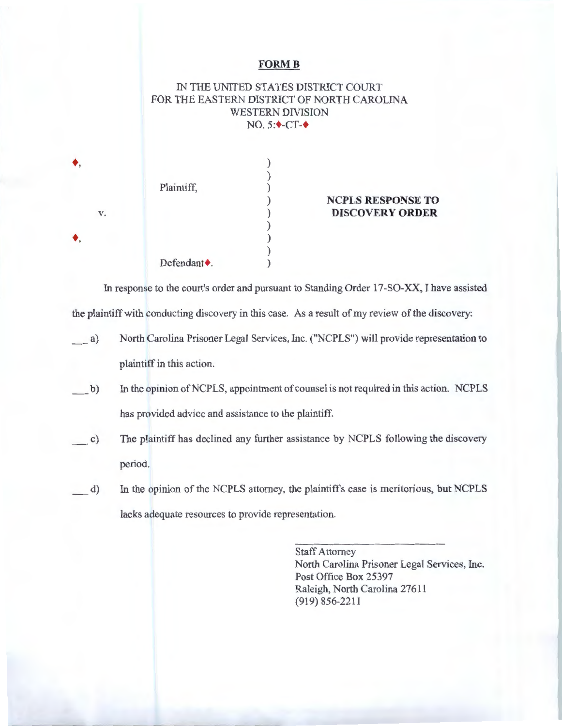### **FORM B**

## IN THE UNITED STATES DISTRICT COURT FOR THE EASTERN DISTRICT OF NORTH CAROLINA WESTERN DIVISION NO.  $5:\leftarrow$ -CT- $\leftarrow$

|    | Plaintiff,               |  |
|----|--------------------------|--|
| V. |                          |  |
|    |                          |  |
|    | Defendant <sup>+</sup> . |  |

+,

+,

### ) **NCPLS RESPONSE TO**  ) **DISCOVERY ORDER**

In response to the court's order and pursuant to Standing Order 17-SO-XX, I have assisted the plaintiff with conducting discovery in this case. As a result of my review of the discovery:

- \_a) North Carolina Prisoner Legal Services, Inc. ("NCPLS") will provide representation to plaintiff in this action.
- \_b) In the opinion of NCPLS, appointment of counsel is not required in this action. NCPLS has provided advice and assistance to the plaintiff.
- $c)$ The plaintiff has declined any further assistance by NCPLS following the discovery period.
- $(d)$ In the opinion of the NCPLS attorney, the plaintiffs case is meritorious, but NCPLS lacks adequate resources to provide representation.

Staff Attorney North Carolina Prisoner Legal Services, Inc. Post Office Box 25397 Raleigh, North Carolina 27611 (919) 856-2211